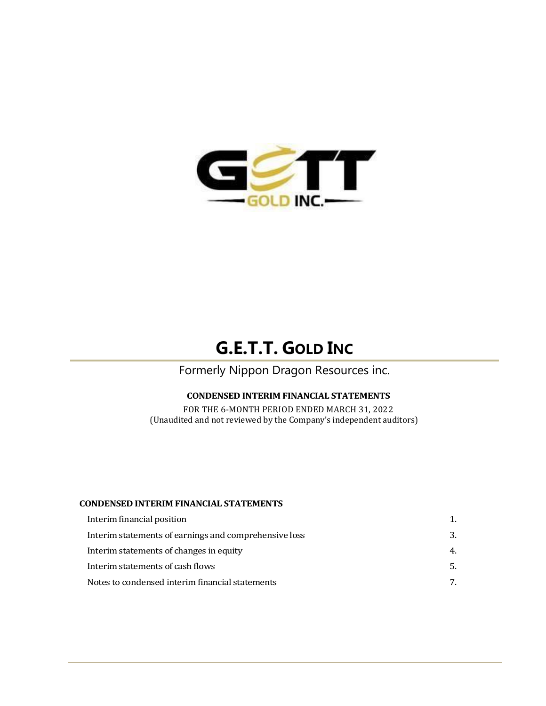

# **G.E.T.T. GOLD INC**

Formerly Nippon Dragon Resources inc.

# **CONDENSED INTERIM FINANCIAL STATEMENTS**

FOR THE 6-MONTH PERIOD ENDED MARCH 31, 2022 (Unaudited and not reviewed by the Company's independent auditors)

### **CONDENSED INTERIM FINANCIAL STATEMENTS**

| 3.  |
|-----|
| 4.  |
| .5. |
| 7   |
|     |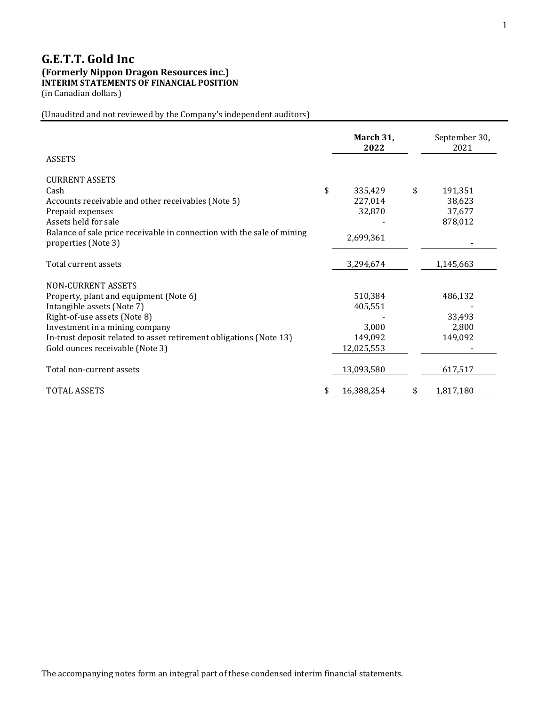# **G.E.T.T. Gold Inc (Formerly Nippon Dragon Resources inc.) INTERIM STATEMENTS OF FINANCIAL POSITION** (in Canadian dollars)

(Unaudited and not reviewed by the Company's independent auditors)

|                                                                                               | March 31,<br>2022 | September 30,<br>2021 |
|-----------------------------------------------------------------------------------------------|-------------------|-----------------------|
| <b>ASSETS</b>                                                                                 |                   |                       |
| <b>CURRENT ASSETS</b>                                                                         |                   |                       |
| Cash                                                                                          | \$<br>335,429     | \$<br>191,351         |
| Accounts receivable and other receivables (Note 5)                                            | 227,014           | 38,623                |
| Prepaid expenses                                                                              | 32,870            | 37,677                |
| Assets held for sale                                                                          |                   | 878,012               |
| Balance of sale price receivable in connection with the sale of mining<br>properties (Note 3) | 2,699,361         |                       |
| Total current assets                                                                          | 3,294,674         | 1,145,663             |
| NON-CURRENT ASSETS                                                                            |                   |                       |
| Property, plant and equipment (Note 6)                                                        | 510,384           | 486,132               |
| Intangible assets (Note 7)                                                                    | 405,551           |                       |
| Right-of-use assets (Note 8)                                                                  |                   | 33,493                |
| Investment in a mining company                                                                | 3,000             | 2,800                 |
| In-trust deposit related to asset retirement obligations (Note 13)                            | 149,092           | 149,092               |
| Gold ounces receivable (Note 3)                                                               | 12,025,553        |                       |
| Total non-current assets                                                                      | 13,093,580        | 617,517               |
| <b>TOTAL ASSETS</b>                                                                           | \$<br>16,388,254  | \$<br>1,817,180       |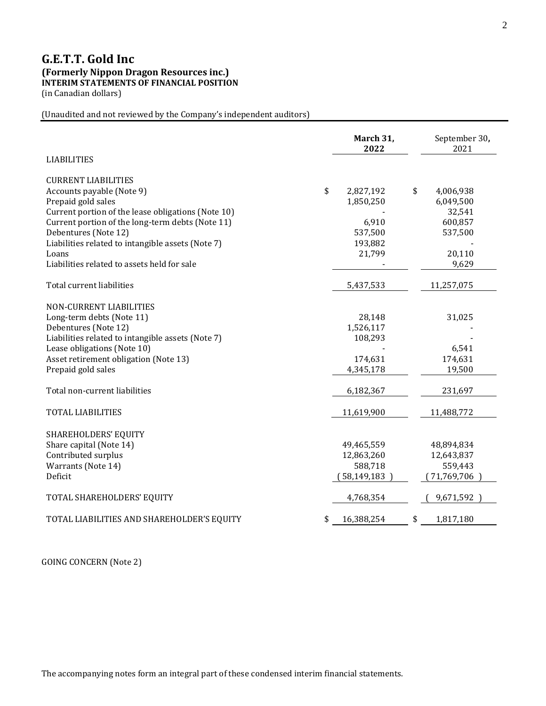# **G.E.T.T. Gold Inc (Formerly Nippon Dragon Resources inc.) INTERIM STATEMENTS OF FINANCIAL POSITION** (in Canadian dollars)

(Unaudited and not reviewed by the Company's independent auditors)

| <b>LIABILITIES</b>                                 | March 31,<br>2022 | September 30,<br>2021 |
|----------------------------------------------------|-------------------|-----------------------|
| <b>CURRENT LIABILITIES</b>                         |                   |                       |
| Accounts payable (Note 9)                          | \$<br>2,827,192   | 4,006,938<br>\$       |
| Prepaid gold sales                                 | 1,850,250         | 6,049,500             |
| Current portion of the lease obligations (Note 10) |                   | 32,541                |
| Current portion of the long-term debts (Note 11)   | 6,910             | 600,857               |
| Debentures (Note 12)                               | 537,500           | 537,500               |
| Liabilities related to intangible assets (Note 7)  | 193,882           |                       |
| Loans                                              | 21,799            | 20,110                |
| Liabilities related to assets held for sale        |                   | 9,629                 |
| Total current liabilities                          | 5,437,533         | 11,257,075            |
| NON-CURRENT LIABILITIES                            |                   |                       |
| Long-term debts (Note 11)                          | 28,148            | 31,025                |
| Debentures (Note 12)                               | 1,526,117         |                       |
| Liabilities related to intangible assets (Note 7)  | 108,293           |                       |
| Lease obligations (Note 10)                        |                   | 6,541                 |
| Asset retirement obligation (Note 13)              | 174,631           | 174,631               |
| Prepaid gold sales                                 | 4,345,178         | 19,500                |
| Total non-current liabilities                      | 6,182,367         | 231,697               |
| <b>TOTAL LIABILITIES</b>                           | 11,619,900        | 11,488,772            |
| SHAREHOLDERS' EQUITY                               |                   |                       |
| Share capital (Note 14)                            | 49,465,559        | 48,894,834            |
| Contributed surplus                                | 12,863,260        | 12,643,837            |
| Warrants (Note 14)                                 | 588,718           | 559,443               |
| Deficit                                            | 58,149,183        | (71,769,706           |
| TOTAL SHAREHOLDERS' EQUITY                         | 4,768,354         | 9,671,592             |
| TOTAL LIABILITIES AND SHAREHOLDER'S EQUITY         | \$<br>16,388,254  | 1,817,180<br>\$       |

GOING CONCERN (Note 2)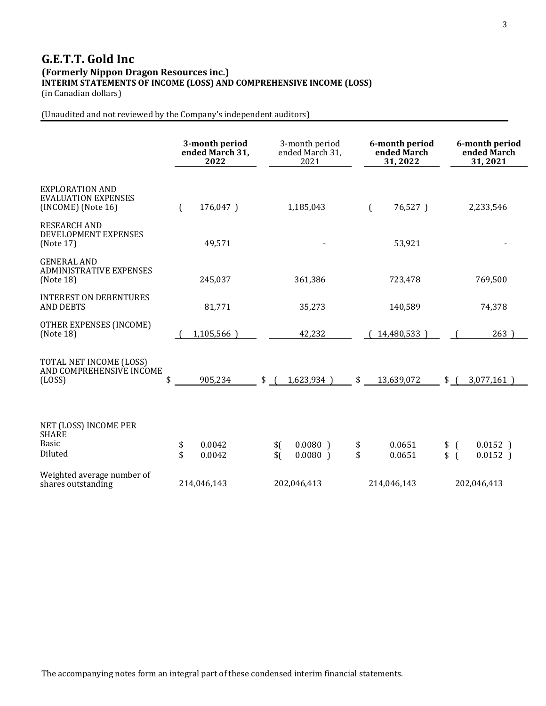# **G.E.T.T. Gold Inc (Formerly Nippon Dragon Resources inc.) INTERIM STATEMENTS OF INCOME (LOSS) AND COMPREHENSIVE INCOME (LOSS)**

(in Canadian dollars)

(Unaudited and not reviewed by the Company's independent auditors)

|                                                                              |          | 3-month period<br>ended March 31,<br>2022 |                   | 3-month period<br>ended March 31,<br>2021 |          | 6-month period<br>ended March<br>31,2022 |                                  | 6-month period<br>ended March<br>31,2021 |
|------------------------------------------------------------------------------|----------|-------------------------------------------|-------------------|-------------------------------------------|----------|------------------------------------------|----------------------------------|------------------------------------------|
| <b>EXPLORATION AND</b><br><b>EVALUATION EXPENSES</b><br>$(INCOME)$ (Note 16) |          | 176,047)                                  |                   | 1,185,043                                 |          | 76,527)<br>€                             |                                  | 2,233,546                                |
| <b>RESEARCH AND</b><br>DEVELOPMENT EXPENSES<br>(Note 17)                     |          | 49,571                                    |                   |                                           |          | 53,921                                   |                                  |                                          |
| <b>GENERAL AND</b><br><b>ADMINISTRATIVE EXPENSES</b><br>(Note 18)            |          | 245,037                                   |                   | 361,386                                   |          | 723,478                                  |                                  | 769,500                                  |
| <b>INTEREST ON DEBENTURES</b><br><b>AND DEBTS</b>                            |          | 81,771                                    |                   | 35,273                                    |          | 140,589                                  |                                  | 74,378                                   |
| OTHER EXPENSES (INCOME)<br>(Note 18)                                         |          | 1,105,566)                                |                   | 42,232                                    |          | 14,480,533)                              |                                  | 263)                                     |
| TOTAL NET INCOME (LOSS)<br>AND COMPREHENSIVE INCOME<br>(LOSS)                | \$       | 905,234                                   | \$                | 1,623,934)                                | \$       | 13,639,072                               | $\frac{1}{2}$                    | 3,077,161                                |
| NET (LOSS) INCOME PER<br><b>SHARE</b><br><b>Basic</b><br>Diluted             | \$<br>\$ | 0.0042<br>0.0042                          | \$(<br>$$^{(1)}$$ | $0.0080$ )<br>$0.0080$ )                  | \$<br>\$ | 0.0651<br>0.0651                         | $\left($<br>\$<br>\$<br>$\left($ | $0.0152$ )<br>$0.0152$ )                 |
| Weighted average number of<br>shares outstanding                             |          | 214,046,143                               |                   | 202,046,413                               |          | 214,046,143                              |                                  | 202,046,413                              |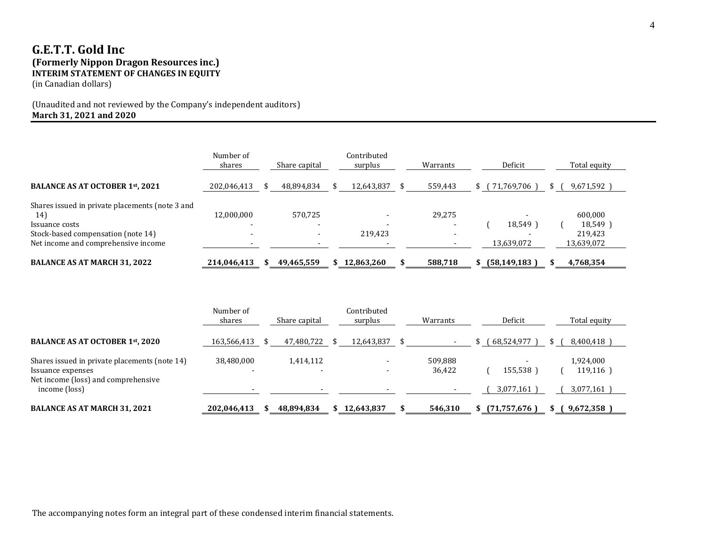# **G.E.T.T. Gold Inc (Formerly Nippon Dragon Resources inc.) INTERIM STATEMENT OF CHANGES IN EQUITY**

(in Canadian dollars)

# (Unaudited and not reviewed by the Company's independent auditors) **March 31, 2021 and 2020**

|                                                 | Number of<br>shares | Share capital | Contributed<br>surplus | Warrants |     | Deficit        | Total equity  |
|-------------------------------------------------|---------------------|---------------|------------------------|----------|-----|----------------|---------------|
| BALANCE AS AT OCTOBER 1st, 2021                 | 202,046,413         | 48,894,834    | 12,643,837             | 559,443  | S ( | 71,769,706)    | $9,671,592$ ] |
| Shares issued in private placements (note 3 and |                     |               |                        |          |     |                |               |
| 14)                                             | 12,000,000          | 570,725       |                        | 29,275   |     |                | 600,000       |
| Issuance costs                                  |                     |               |                        |          |     | 18,549)        | 18,549)       |
| Stock-based compensation (note 14)              |                     |               | 219,423                |          |     |                | 219.423       |
| Net income and comprehensive income             |                     |               |                        |          |     | 13,639,072     | 13,639,072    |
| <b>BALANCE AS AT MARCH 31, 2022</b>             | 214,046,413         | 49,465,559    | 12,863,260             | 588,718  |     | (58, 149, 183) | 4,768,354     |

|                                                                                                           | Number of<br>shares | Share capital | Contributed<br>surplus | Warrants          | Deficit      | Total equity          |
|-----------------------------------------------------------------------------------------------------------|---------------------|---------------|------------------------|-------------------|--------------|-----------------------|
| <b>BALANCE AS AT OCTOBER 1st, 2020</b>                                                                    | 163,566,413         | 47,480,722    | 12,643,837             |                   | 68,524,977   | 8,400,418             |
| Shares issued in private placements (note 14)<br>Issuance expenses<br>Net income (loss) and comprehensive | 38,480,000          | 1,414,112     |                        | 509,888<br>36,422 | 155,538      | 1,924,000<br>119,116) |
| income (loss)                                                                                             |                     |               |                        |                   | 3,077,161    | 3,077,161             |
| <b>BALANCE AS AT MARCH 31, 2021</b>                                                                       | 202,046,413         | 48,894,834    | 12,643,837             | 546,310           | (71,757,676) | 9,672,358             |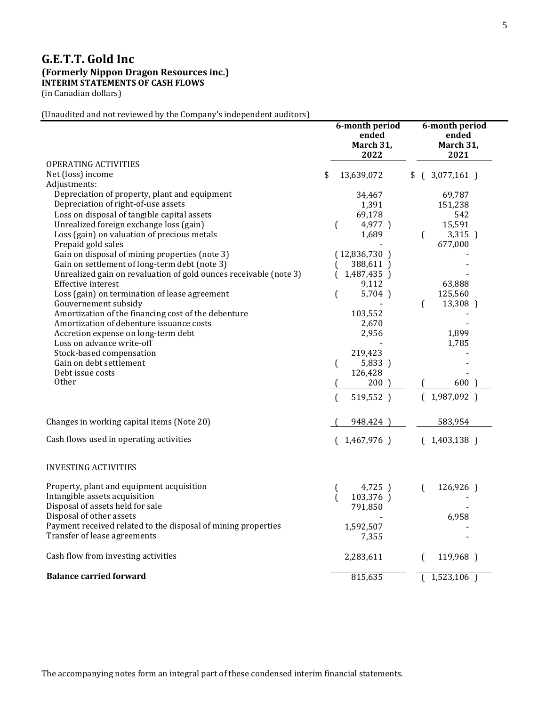# **G.E.T.T. Gold Inc (Formerly Nippon Dragon Resources inc.) INTERIM STATEMENTS OF CASH FLOWS**

(in Canadian dollars)

(Unaudited and not reviewed by the Company's independent auditors)

|                                                                   | 6-month period<br>ended<br>March 31,<br>2022 | 6-month period<br>ended<br>March 31,<br>2021 |
|-------------------------------------------------------------------|----------------------------------------------|----------------------------------------------|
| <b>OPERATING ACTIVITIES</b>                                       |                                              |                                              |
| Net (loss) income                                                 | \$<br>13,639,072                             | $$$ ( 3,077,161 )                            |
| Adjustments:<br>Depreciation of property, plant and equipment     | 34,467                                       | 69,787                                       |
| Depreciation of right-of-use assets                               | 1,391                                        | 151,238                                      |
| Loss on disposal of tangible capital assets                       | 69,178                                       | 542                                          |
| Unrealized foreign exchange loss (gain)                           | $\left($<br>4,977)                           | 15,591                                       |
| Loss (gain) on valuation of precious metals                       | 1,689                                        | $\left($<br>3,315 )                          |
| Prepaid gold sales                                                |                                              | 677,000                                      |
| Gain on disposal of mining properties (note 3)                    | (12,836,730)                                 |                                              |
| Gain on settlement of long-term debt (note 3)                     | 388,611)                                     |                                              |
| Unrealized gain on revaluation of gold ounces receivable (note 3) | 1,487,435 )<br><b>C</b>                      |                                              |
| Effective interest                                                | 9,112                                        | 63,888                                       |
| Loss (gain) on termination of lease agreement                     | $\left($<br>5,704)                           | 125,560                                      |
| Gouvernement subsidy                                              |                                              | 13,308 )<br>$\left($                         |
| Amortization of the financing cost of the debenture               | 103,552                                      |                                              |
| Amortization of debenture issuance costs                          | 2,670                                        |                                              |
| Accretion expense on long-term debt                               | 2,956                                        | 1,899                                        |
| Loss on advance write-off                                         |                                              | 1,785                                        |
| Stock-based compensation                                          | 219,423                                      |                                              |
| Gain on debt settlement                                           | 5,833 )<br>$\left($                          |                                              |
| Debt issue costs<br>0ther                                         | 126,428                                      |                                              |
|                                                                   | 200                                          | 600                                          |
|                                                                   | 519,552)<br>$\sqrt{ }$                       | (1,987,092)                                  |
| Changes in working capital items (Note 20)                        | 948,424 )                                    | 583,954                                      |
| Cash flows used in operating activities                           | (1,467,976)                                  | (1,403,138)                                  |
| <b>INVESTING ACTIVITIES</b>                                       |                                              |                                              |
| Property, plant and equipment acquisition                         | 4,725)                                       | 126,926)                                     |
| Intangible assets acquisition                                     | t<br>103,376 )                               |                                              |
| Disposal of assets held for sale                                  | 791,850                                      |                                              |
| Disposal of other assets                                          |                                              | 6,958                                        |
| Payment received related to the disposal of mining properties     | 1,592,507                                    |                                              |
| Transfer of lease agreements                                      | 7,355                                        |                                              |
| Cash flow from investing activities                               | 2,283,611                                    | 119,968)<br>ſ                                |
| <b>Balance carried forward</b>                                    | 815,635                                      | 1,523,106                                    |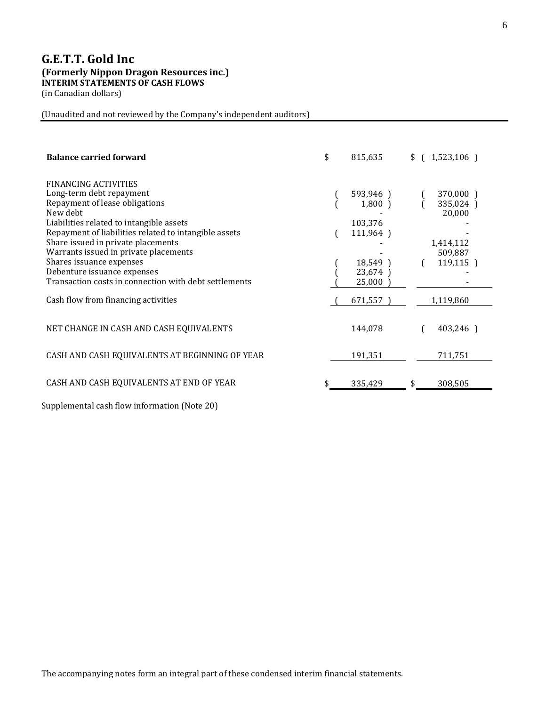# **G.E.T.T. Gold Inc (Formerly Nippon Dragon Resources inc.) INTERIM STATEMENTS OF CASH FLOWS**

(in Canadian dollars)

(Unaudited and not reviewed by the Company's independent auditors)

| <b>Balance carried forward</b>                                                                                                                                                                                                                                                                                                                       | \$<br>815,635                                                     | (1,523,106)<br>\$                                                   |
|------------------------------------------------------------------------------------------------------------------------------------------------------------------------------------------------------------------------------------------------------------------------------------------------------------------------------------------------------|-------------------------------------------------------------------|---------------------------------------------------------------------|
| <b>FINANCING ACTIVITIES</b><br>Long-term debt repayment<br>Repayment of lease obligations<br>New debt<br>Liabilities related to intangible assets<br>Repayment of liabilities related to intangible assets<br>Share issued in private placements<br>Warrants issued in private placements<br>Shares issuance expenses<br>Debenture issuance expenses | 593,946)<br>$1,800$ )<br>103,376<br>111,964)<br>18,549)<br>23,674 | 370,000 )<br>335,024)<br>20,000<br>1,414,112<br>509,887<br>119,115) |
| Transaction costs in connection with debt settlements                                                                                                                                                                                                                                                                                                | 25,000                                                            |                                                                     |
| Cash flow from financing activities<br>NET CHANGE IN CASH AND CASH EQUIVALENTS                                                                                                                                                                                                                                                                       | 671,557<br>144,078                                                | 1,119,860<br>403,246)                                               |
| CASH AND CASH EQUIVALENTS AT BEGINNING OF YEAR                                                                                                                                                                                                                                                                                                       | 191,351                                                           | 711,751                                                             |
| CASH AND CASH EQUIVALENTS AT END OF YEAR                                                                                                                                                                                                                                                                                                             | 335,429                                                           | 308,505<br>\$                                                       |

Supplemental cash flow information (Note 20)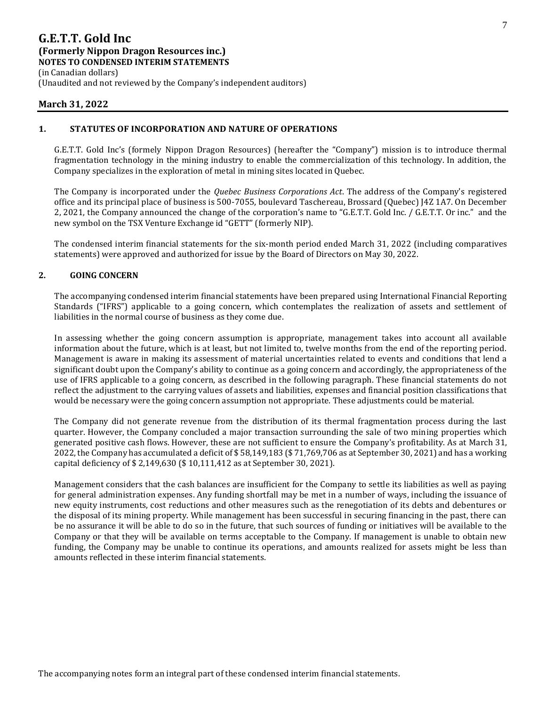(in Canadian dollars) (Unaudited and not reviewed by the Company's independent auditors)

### **March 31, 2022**

### **1. STATUTES OF INCORPORATION AND NATURE OF OPERATIONS**

G.E.T.T. Gold Inc's (formely Nippon Dragon Resources) (hereafter the "Company") mission is to introduce thermal fragmentation technology in the mining industry to enable the commercialization of this technology. In addition, the Company specializes in the exploration of metal in mining sites located in Quebec.

The Company is incorporated under the *Quebec Business Corporations Act*. The address of the Company's registered office and its principal place of business is 500-7055, boulevard Taschereau, Brossard (Quebec) J4Z 1A7. On December 2, 2021, the Company announced the change of the corporation's name to "G.E.T.T. Gold Inc. / G.E.T.T. Or inc." and the new symbol on the TSX Venture Exchange id "GETT" (formerly NIP).

The condensed interim financial statements for the six-month period ended March 31, 2022 (including comparatives statements) were approved and authorized for issue by the Board of Directors on May 30, 2022.

### **2. GOING CONCERN**

The accompanying condensed interim financial statements have been prepared using International Financial Reporting Standards ("IFRS") applicable to a going concern, which contemplates the realization of assets and settlement of liabilities in the normal course of business as they come due.

In assessing whether the going concern assumption is appropriate, management takes into account all available information about the future, which is at least, but not limited to, twelve months from the end of the reporting period. Management is aware in making its assessment of material uncertainties related to events and conditions that lend a significant doubt upon the Company's ability to continue as a going concern and accordingly, the appropriateness of the use of IFRS applicable to a going concern, as described in the following paragraph. These financial statements do not reflect the adjustment to the carrying values of assets and liabilities, expenses and financial position classifications that would be necessary were the going concern assumption not appropriate. These adjustments could be material.

The Company did not generate revenue from the distribution of its thermal fragmentation process during the last quarter. However, the Company concluded a major transaction surrounding the sale of two mining properties which generated positive cash flows. However, these are not sufficient to ensure the Company's profitability. As at March 31, 2022, the Company has accumulated a deficit of \$ 58,149,183 (\$ 71,769,706 as at September 30, 2021) and has a working capital deficiency of \$ 2,149,630 (\$ 10,111,412 as at September 30, 2021).

Management considers that the cash balances are insufficient for the Company to settle its liabilities as well as paying for general administration expenses. Any funding shortfall may be met in a number of ways, including the issuance of new equity instruments, cost reductions and other measures such as the renegotiation of its debts and debentures or the disposal of its mining property. While management has been successful in securing financing in the past, there can be no assurance it will be able to do so in the future, that such sources of funding or initiatives will be available to the Company or that they will be available on terms acceptable to the Company. If management is unable to obtain new funding, the Company may be unable to continue its operations, and amounts realized for assets might be less than amounts reflected in these interim financial statements.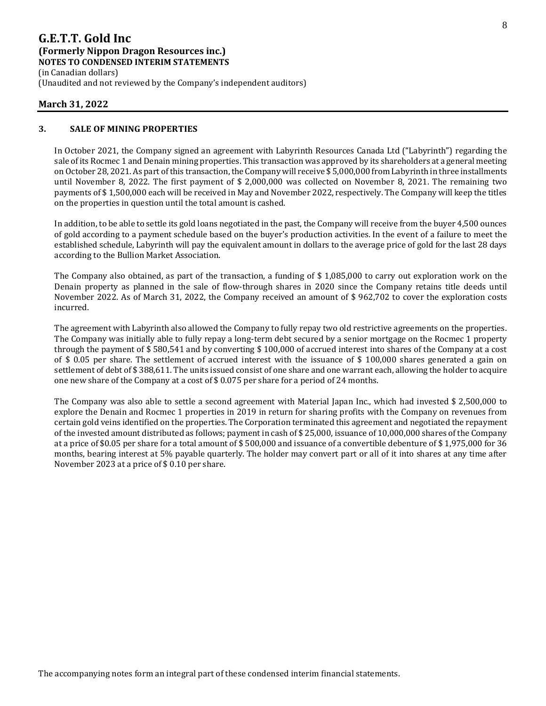(in Canadian dollars) (Unaudited and not reviewed by the Company's independent auditors)

### **March 31, 2022**

### **3. SALE OF MINING PROPERTIES**

In October 2021, the Company signed an agreement with Labyrinth Resources Canada Ltd ("Labyrinth") regarding the sale of its Rocmec 1 and Denain mining properties. This transaction was approved by its shareholders at a general meeting on October 28, 2021. As part of this transaction, the Company will receive \$ 5,000,000 from Labyrinth in three installments until November 8, 2022. The first payment of \$ 2,000,000 was collected on November 8, 2021. The remaining two payments of \$ 1,500,000 each will be received in May and November 2022, respectively. The Company will keep the titles on the properties in question until the total amount is cashed.

In addition, to be able to settle its gold loans negotiated in the past, the Company will receive from the buyer 4,500 ounces of gold according to a payment schedule based on the buyer's production activities. In the event of a failure to meet the established schedule, Labyrinth will pay the equivalent amount in dollars to the average price of gold for the last 28 days according to the Bullion Market Association.

The Company also obtained, as part of the transaction, a funding of \$ 1,085,000 to carry out exploration work on the Denain property as planned in the sale of flow-through shares in 2020 since the Company retains title deeds until November 2022. As of March 31, 2022, the Company received an amount of \$ 962,702 to cover the exploration costs incurred.

The agreement with Labyrinth also allowed the Company to fully repay two old restrictive agreements on the properties. The Company was initially able to fully repay a long-term debt secured by a senior mortgage on the Rocmec 1 property through the payment of \$ 580,541 and by converting \$ 100,000 of accrued interest into shares of the Company at a cost of \$ 0.05 per share. The settlement of accrued interest with the issuance of \$ 100,000 shares generated a gain on settlement of debt of \$ 388,611. The units issued consist of one share and one warrant each, allowing the holder to acquire one new share of the Company at a cost of \$ 0.075 per share for a period of 24 months.

The Company was also able to settle a second agreement with Material Japan Inc., which had invested \$ 2,500,000 to explore the Denain and Rocmec 1 properties in 2019 in return for sharing profits with the Company on revenues from certain gold veins identified on the properties. The Corporation terminated this agreement and negotiated the repayment of the invested amount distributed as follows; payment in cash of \$ 25,000, issuance of 10,000,000 shares of the Company at a price of \$0.05 per share for a total amount of \$ 500,000 and issuance of a convertible debenture of \$ 1,975,000 for 36 months, bearing interest at 5% payable quarterly. The holder may convert part or all of it into shares at any time after November 2023 at a price of \$ 0.10 per share.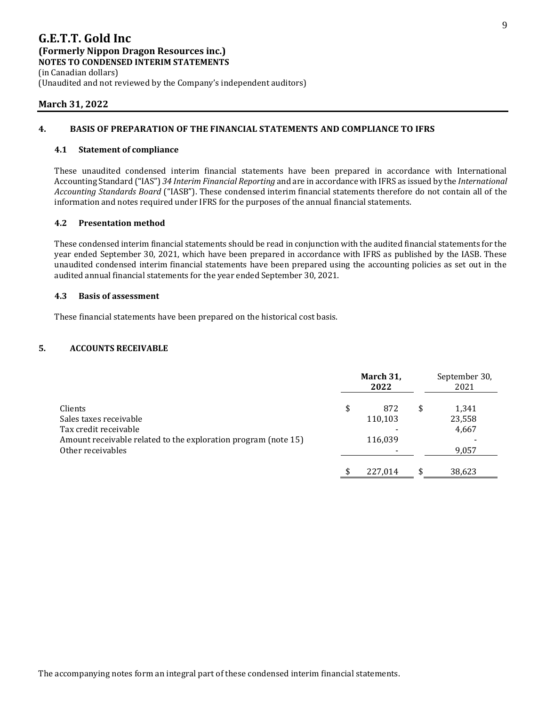(Unaudited and not reviewed by the Company's independent auditors)

### **March 31, 2022**

### **4. BASIS OF PREPARATION OF THE FINANCIAL STATEMENTS AND COMPLIANCE TO IFRS**

### **4.1 Statement of compliance**

These unaudited condensed interim financial statements have been prepared in accordance with International Accounting Standard ("IAS") *34 Interim Financial Reporting* and are in accordance with IFRS as issued by the *International Accounting Standards Board* ("IASB"). These condensed interim financial statements therefore do not contain all of the information and notes required under IFRS for the purposes of the annual financial statements.

### **4.2 Presentation method**

These condensed interim financial statements should be read in conjunction with the audited financial statements for the year ended September 30, 2021, which have been prepared in accordance with IFRS as published by the IASB. These unaudited condensed interim financial statements have been prepared using the accounting policies as set out in the audited annual financial statements for the year ended September 30, 2021.

### **4.3 Basis of assessment**

These financial statements have been prepared on the historical cost basis.

### **5. ACCOUNTS RECEIVABLE**

|                                                                | March 31,<br>2022 | September 30,<br>2021 |
|----------------------------------------------------------------|-------------------|-----------------------|
| Clients                                                        | \$<br>872         | \$<br>1,341           |
| Sales taxes receivable                                         | 110,103           | 23,558                |
| Tax credit receivable                                          |                   | 4,667                 |
| Amount receivable related to the exploration program (note 15) | 116,039           |                       |
| Other receivables                                              |                   | 9,057                 |
|                                                                | 227.014           | \$<br>38.623          |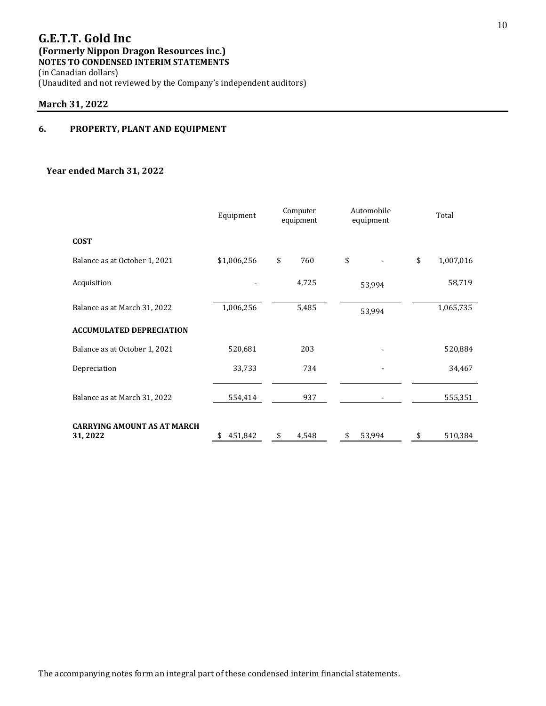(Unaudited and not reviewed by the Company's independent auditors)

# **March 31, 2022**

# **6. PROPERTY, PLANT AND EQUIPMENT**

### **Year ended March 31, 2022**

|                                                | Equipment   | Computer<br>Automobile<br>equipment<br>equipment |              | Total           |
|------------------------------------------------|-------------|--------------------------------------------------|--------------|-----------------|
| <b>COST</b>                                    |             |                                                  |              |                 |
| Balance as at October 1, 2021                  | \$1,006,256 | \$<br>760                                        | \$           | \$<br>1,007,016 |
| Acquisition                                    |             | 4,725                                            | 53,994       | 58,719          |
| Balance as at March 31, 2022                   | 1,006,256   | 5,485                                            | 53,994       | 1,065,735       |
| <b>ACCUMULATED DEPRECIATION</b>                |             |                                                  |              |                 |
| Balance as at October 1, 2021                  | 520,681     | 203                                              |              | 520,884         |
| Depreciation                                   | 33,733      | 734                                              |              | 34,467          |
| Balance as at March 31, 2022                   | 554,414     | 937                                              |              | 555,351         |
| <b>CARRYING AMOUNT AS AT MARCH</b><br>31, 2022 | 451,842     | 4,548<br>\$                                      | 53,994<br>\$ | 510,384<br>\$   |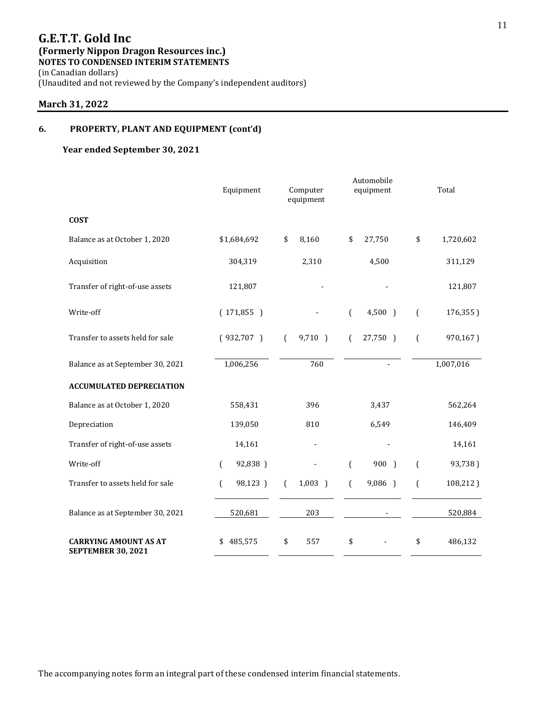(Unaudited and not reviewed by the Company's independent auditors)

# **March 31, 2022**

### **6. PROPERTY, PLANT AND EQUIPMENT (cont'd)**

### **Year ended September 30, 2021**

|                                                           | Equipment     | Computer<br>equipment |           |                  | Automobile<br>equipment  |                  | Total     |
|-----------------------------------------------------------|---------------|-----------------------|-----------|------------------|--------------------------|------------------|-----------|
| <b>COST</b>                                               |               |                       |           |                  |                          |                  |           |
| Balance as at October 1, 2020                             | \$1,684,692   | \$                    | 8,160     | \$               | 27,750                   | \$               | 1,720,602 |
| Acquisition                                               | 304,319       |                       | 2,310     |                  | 4,500                    |                  | 311,129   |
| Transfer of right-of-use assets                           | 121,807       |                       |           |                  |                          |                  | 121,807   |
| Write-off                                                 | (171,855)     |                       |           | $\overline{(\ }$ | $4,500$ )                | $\overline{(\ }$ | 176,355)  |
| Transfer to assets held for sale                          | (932,707)     | $\left($              | 9,710 )   | $\left($         | 27,750 )                 | $\overline{(\ }$ | 970,167)  |
| Balance as at September 30, 2021                          | 1,006,256     |                       | 760       |                  |                          |                  | 1,007,016 |
| <b>ACCUMULATED DEPRECIATION</b>                           |               |                       |           |                  |                          |                  |           |
| Balance as at October 1, 2020                             | 558,431       |                       | 396       |                  | 3,437                    |                  | 562,264   |
| Depreciation                                              | 139,050       |                       | 810       |                  | 6,549                    |                  | 146,409   |
| Transfer of right-of-use assets                           | 14,161        |                       |           |                  |                          |                  | 14,161    |
| Write-off                                                 | 92,838)<br>€  |                       |           | $\overline{(\ }$ | 900 )                    | $\left($         | 93,738)   |
| Transfer to assets held for sale                          | 98,123 )<br>€ | €                     | $1,003$ ) | $\left($         | 9,086 )                  | $\overline{(\ }$ | 108,212)  |
| Balance as at September 30, 2021                          | 520,681       |                       | 203       |                  | $\overline{\phantom{a}}$ |                  | 520,884   |
| <b>CARRYING AMOUNT AS AT</b><br><b>SEPTEMBER 30, 2021</b> | 485,575<br>\$ | \$                    | 557       | \$               |                          | \$               | 486,132   |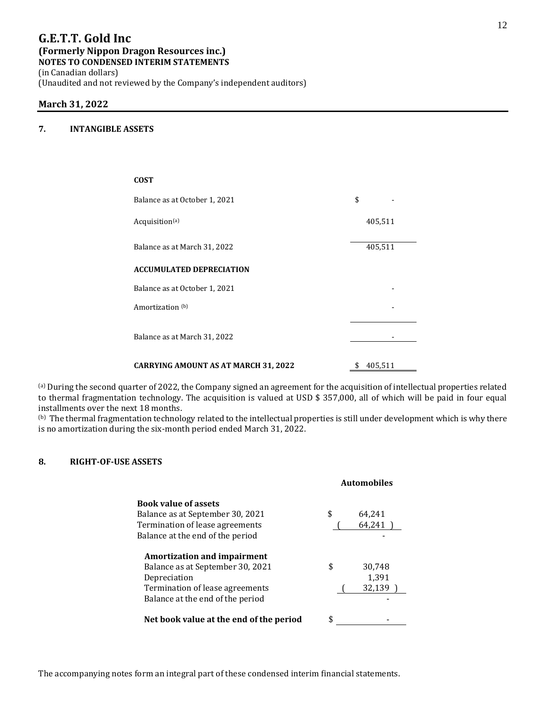# **G.E.T.T. Gold Inc (Formerly Nippon Dragon Resources inc.)**

**NOTES TO CONDENSED INTERIM STATEMENTS** 

(in Canadian dollars) (Unaudited and not reviewed by the Company's independent auditors)

### **March 31, 2022**

### **7. INTANGIBLE ASSETS**

| <b>COST</b>                                 |         |  |
|---------------------------------------------|---------|--|
| Balance as at October 1, 2021               | \$      |  |
| Acquisition <sup>(a)</sup>                  | 405,511 |  |
| Balance as at March 31, 2022                | 405,511 |  |
| <b>ACCUMULATED DEPRECIATION</b>             |         |  |
| Balance as at October 1, 2021               |         |  |
| Amortization (b)                            |         |  |
| Balance as at March 31, 2022                |         |  |
| <b>CARRYING AMOUNT AS AT MARCH 31, 2022</b> | 405,511 |  |

(a) During the second quarter of 2022, the Company signed an agreement for the acquisition of intellectual properties related to thermal fragmentation technology. The acquisition is valued at USD \$ 357,000, all of which will be paid in four equal installments over the next 18 months.

 $^{(b)}$  The thermal fragmentation technology related to the intellectual properties is still under development which is why there is no amortization during the six-month period ended March 31, 2022.

### **8. RIGHT-OF-USE ASSETS**

|                                         | <b>Automobiles</b> |
|-----------------------------------------|--------------------|
| <b>Book value of assets</b>             |                    |
| Balance as at September 30, 2021        | \$<br>64,241       |
| Termination of lease agreements         | 64,241             |
| Balance at the end of the period        |                    |
| <b>Amortization and impairment</b>      |                    |
| Balance as at September 30, 2021        | \$<br>30,748       |
| Depreciation                            | 1,391              |
| Termination of lease agreements         | 32,139             |
| Balance at the end of the period        |                    |
| Net book value at the end of the period |                    |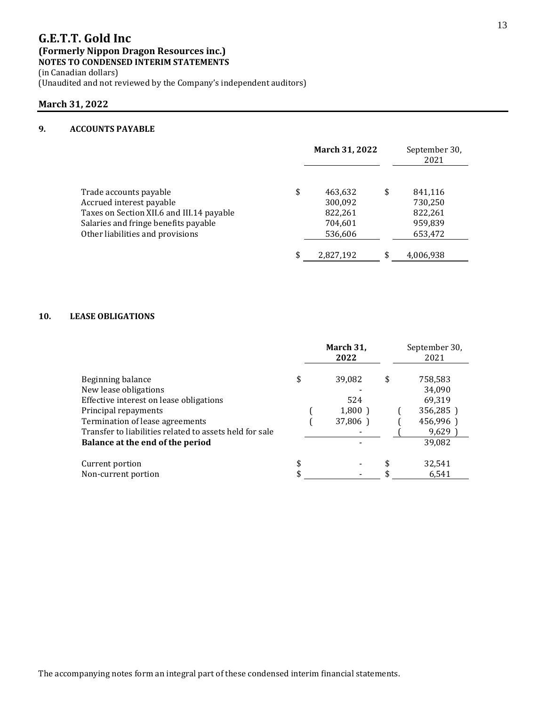(in Canadian dollars)

(Unaudited and not reviewed by the Company's independent auditors)

### **March 31, 2022**

# **9. ACCOUNTS PAYABLE**

|                                           | March 31, 2022  | September 30,<br>2021 |
|-------------------------------------------|-----------------|-----------------------|
| Trade accounts payable                    | \$<br>463,632   | \$<br>841,116         |
| Accrued interest payable                  | 300,092         | 730,250               |
| Taxes on Section XII.6 and III.14 payable | 822,261         | 822,261               |
| Salaries and fringe benefits payable      | 704,601         | 959,839               |
| Other liabilities and provisions          | 536,606         | 653,472               |
|                                           | \$<br>2,827,192 | 4,006,938             |

### **10. LEASE OBLIGATIONS**

|                                                         | March 31,<br>2022 | September 30,<br>2021   |
|---------------------------------------------------------|-------------------|-------------------------|
| Beginning balance<br>New lease obligations              | \$<br>39,082      | \$<br>758,583<br>34,090 |
| Effective interest on lease obligations                 | 524               | 69,319                  |
| Principal repayments                                    | 1,800)            | 356,285)                |
| Termination of lease agreements                         | 37,806)           | 456,996)                |
| Transfer to liabilities related to assets held for sale |                   | 9,629                   |
| Balance at the end of the period                        |                   | 39,082                  |
| Current portion                                         | \$                | 32,541                  |
| Non-current portion                                     | \$                | 6,541                   |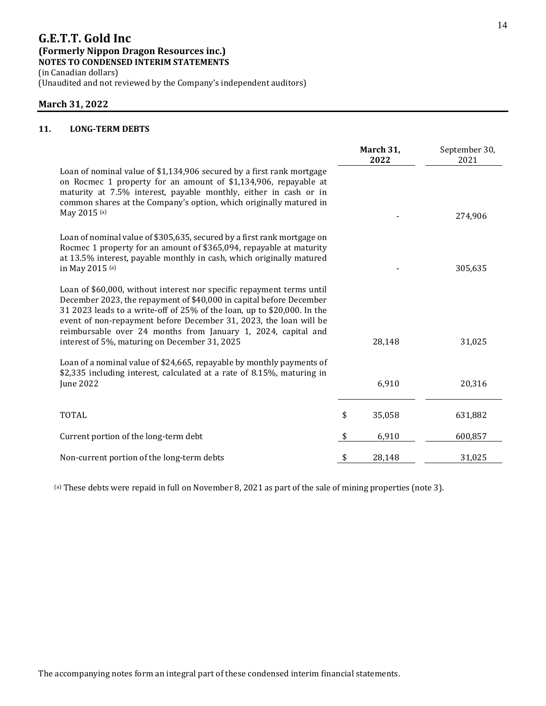(Unaudited and not reviewed by the Company's independent auditors)

### **March 31, 2022**

### **11. LONG-TERM DEBTS**

|                                                                                                                                                                                                                                                                                                                                                                                                                | March 31,<br>2022 | September 30,<br>2021 |
|----------------------------------------------------------------------------------------------------------------------------------------------------------------------------------------------------------------------------------------------------------------------------------------------------------------------------------------------------------------------------------------------------------------|-------------------|-----------------------|
| Loan of nominal value of \$1,134,906 secured by a first rank mortgage<br>on Rocmec 1 property for an amount of \$1,134,906, repayable at<br>maturity at 7.5% interest, payable monthly, either in cash or in<br>common shares at the Company's option, which originally matured in                                                                                                                             |                   |                       |
| May 2015 (a)                                                                                                                                                                                                                                                                                                                                                                                                   |                   | 274,906               |
| Loan of nominal value of \$305,635, secured by a first rank mortgage on<br>Rocmec 1 property for an amount of \$365,094, repayable at maturity<br>at 13.5% interest, payable monthly in cash, which originally matured<br>in May 2015 (a)                                                                                                                                                                      |                   | 305,635               |
| Loan of \$60,000, without interest nor specific repayment terms until<br>December 2023, the repayment of \$40,000 in capital before December<br>31 2023 leads to a write-off of 25% of the loan, up to \$20,000. In the<br>event of non-repayment before December 31, 2023, the loan will be<br>reimbursable over 24 months from January 1, 2024, capital and<br>interest of 5%, maturing on December 31, 2025 | 28,148            | 31,025                |
| Loan of a nominal value of \$24,665, repayable by monthly payments of<br>\$2,335 including interest, calculated at a rate of 8.15%, maturing in<br><b>June 2022</b>                                                                                                                                                                                                                                            | 6,910             | 20,316                |
| <b>TOTAL</b>                                                                                                                                                                                                                                                                                                                                                                                                   | \$<br>35,058      | 631,882               |
| Current portion of the long-term debt                                                                                                                                                                                                                                                                                                                                                                          | \$<br>6,910       | 600,857               |
| Non-current portion of the long-term debts                                                                                                                                                                                                                                                                                                                                                                     | \$<br>28,148      | 31,025                |

(a) These debts were repaid in full on November 8, 2021 as part of the sale of mining properties (note 3).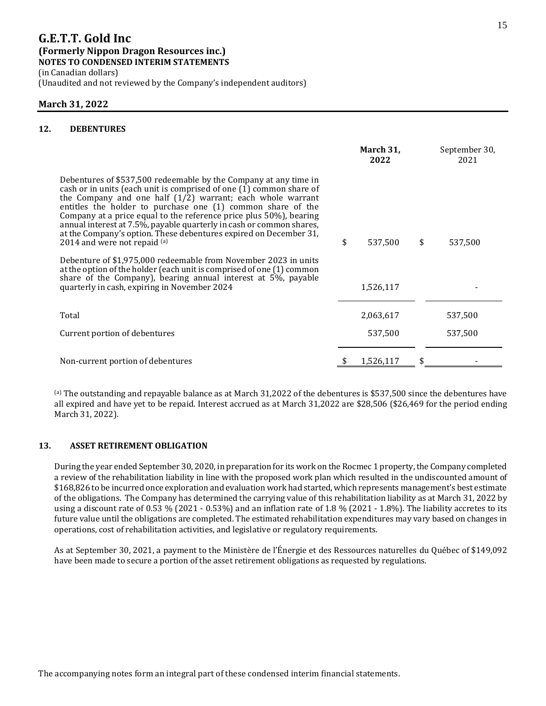(in Canadian dollars)

(Unaudited and not reviewed by the Company's independent auditors)

### **March 31, 2022**

### **12. DEBENTURES**

|                                                                                                                                                                                                                                                                                                                                                                                                                                                                                                                           | March 31,<br>2022 | September 30,<br>2021 |
|---------------------------------------------------------------------------------------------------------------------------------------------------------------------------------------------------------------------------------------------------------------------------------------------------------------------------------------------------------------------------------------------------------------------------------------------------------------------------------------------------------------------------|-------------------|-----------------------|
| Debentures of \$537,500 redeemable by the Company at any time in<br>cash or in units (each unit is comprised of one (1) common share of<br>the Company and one half $(1/2)$ warrant; each whole warrant<br>entitles the holder to purchase one (1) common share of the<br>Company at a price equal to the reference price plus 50%), bearing<br>annual interest at 7.5%, payable quarterly in cash or common shares,<br>at the Company's option. These debentures expired on December 31,<br>2014 and were not repaid (a) | \$<br>537,500     | \$<br>537,500         |
| Debenture of \$1,975,000 redeemable from November 2023 in units<br>at the option of the holder (each unit is comprised of one (1) common<br>share of the Company), bearing annual interest at $5\%$ , payable<br>quarterly in cash, expiring in November 2024                                                                                                                                                                                                                                                             | 1,526,117         |                       |
| Total                                                                                                                                                                                                                                                                                                                                                                                                                                                                                                                     | 2,063,617         | 537,500               |
| Current portion of debentures                                                                                                                                                                                                                                                                                                                                                                                                                                                                                             | 537,500           | 537,500               |
| Non-current portion of debentures                                                                                                                                                                                                                                                                                                                                                                                                                                                                                         | 1,526,117         |                       |

 $^{(a)}$  The outstanding and repayable balance as at March 31,2022 of the debentures is \$537,500 since the debentures have all expired and have yet to be repaid. Interest accrued as at March 31,2022 are \$28,506 (\$26,469 for the period ending March 31, 2022).

### **13. ASSET RETIREMENT OBLIGATION**

During the year ended September 30, 2020, in preparation for its work on the Rocmec 1 property, the Company completed a review of the rehabilitation liability in line with the proposed work plan which resulted in the undiscounted amount of \$168,826 to be incurred once exploration and evaluation work had started, which represents management's best estimate of the obligations. The Company has determined the carrying value of this rehabilitation liability as at March 31, 2022 by using a discount rate of 0.53 % (2021 - 0.53%) and an inflation rate of 1.8 % (2021 - 1.8%). The liability accretes to its future value until the obligations are completed. The estimated rehabilitation expenditures may vary based on changes in operations, cost of rehabilitation activities, and legislative or regulatory requirements.

As at September 30, 2021, a payment to the Ministère de l'Énergie et des Ressources naturelles du Québec of \$149,092 have been made to secure a portion of the asset retirement obligations as requested by regulations.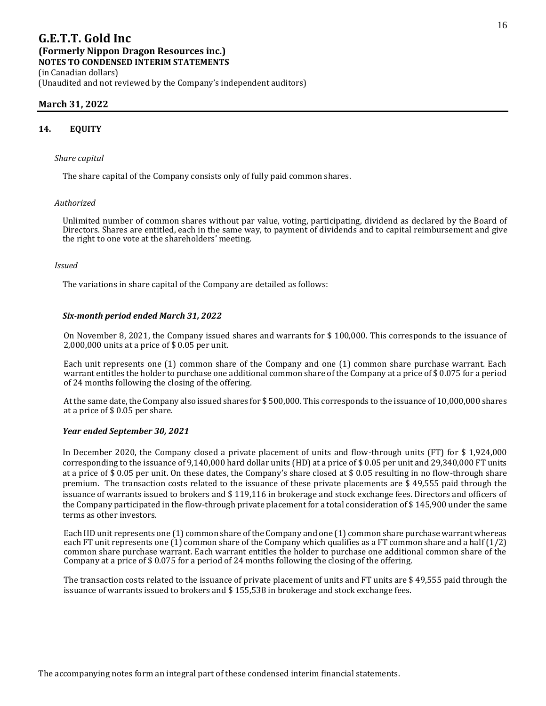### **March 31, 2022**

#### **14. EQUITY**

#### *Share capital*

The share capital of the Company consists only of fully paid common shares.

#### *Authorized*

Unlimited number of common shares without par value, voting, participating, dividend as declared by the Board of Directors. Shares are entitled, each in the same way, to payment of dividends and to capital reimbursement and give the right to one vote at the shareholders' meeting.

#### *Issued*

The variations in share capital of the Company are detailed as follows:

#### *Six-month period ended March 31, 2022*

On November 8, 2021, the Company issued shares and warrants for \$ 100,000. This corresponds to the issuance of 2,000,000 units at a price of \$ 0.05 per unit.

Each unit represents one (1) common share of the Company and one (1) common share purchase warrant. Each warrant entitles the holder to purchase one additional common share of the Company at a price of \$ 0.075 for a period of 24 months following the closing of the offering.

At the same date, the Company also issued shares for \$ 500,000. This corresponds to the issuance of 10,000,000 shares at a price of \$ 0.05 per share.

#### *Year ended September 30, 2021*

In December 2020, the Company closed a private placement of units and flow-through units (FT) for \$ 1,924,000 corresponding to the issuance of 9,140,000 hard dollar units (HD) at a price of \$ 0.05 per unit and 29,340,000 FT units at a price of \$ 0.05 per unit. On these dates, the Company's share closed at \$ 0.05 resulting in no flow-through share premium. The transaction costs related to the issuance of these private placements are \$ 49,555 paid through the issuance of warrants issued to brokers and \$ 119,116 in brokerage and stock exchange fees. Directors and officers of the Company participated in the flow-through private placement for a total consideration of \$ 145,900 under the same terms as other investors.

Each HD unit represents one (1) common share of the Company and one (1) common share purchase warrant whereas each FT unit represents one  $(1)$  common share of the Company which qualifies as a FT common share and a half  $(1/2)$ common share purchase warrant. Each warrant entitles the holder to purchase one additional common share of the Company at a price of \$ 0.075 for a period of 24 months following the closing of the offering.

The transaction costs related to the issuance of private placement of units and FT units are \$ 49,555 paid through the issuance of warrants issued to brokers and \$ 155,538 in brokerage and stock exchange fees.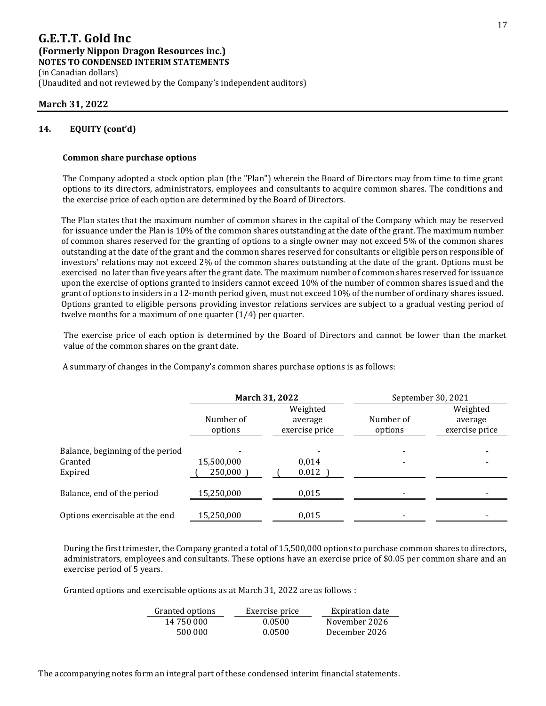(Unaudited and not reviewed by the Company's independent auditors)

### **March 31, 2022**

### **14. EQUITY (cont'd)**

### **Common share purchase options**

The Company adopted a stock option plan (the "Plan") wherein the Board of Directors may from time to time grant options to its directors, administrators, employees and consultants to acquire common shares. The conditions and the exercise price of each option are determined by the Board of Directors.

The Plan states that the maximum number of common shares in the capital of the Company which may be reserved for issuance under the Plan is 10% of the common shares outstanding at the date of the grant. The maximum number of common shares reserved for the granting of options to a single owner may not exceed 5% of the common shares outstanding at the date of the grant and the common shares reserved for consultants or eligible person responsible of investors' relations may not exceed 2% of the common shares outstanding at the date of the grant. Options must be exercised no later than five years after the grant date. The maximum number of common shares reserved for issuance upon the exercise of options granted to insiders cannot exceed 10% of the number of common shares issued and the grant of options to insiders in a 12-month period given, must not exceed 10% of the number of ordinary shares issued. Options granted to eligible persons providing investor relations services are subject to a gradual vesting period of twelve months for a maximum of one quarter (1/4) per quarter.

The exercise price of each option is determined by the Board of Directors and cannot be lower than the market value of the common shares on the grant date.

A summary of changes in the Company's common shares purchase options is as follows:

|                                                        |                       | March 31, 2022                        |                          | September 30, 2021                    |  |
|--------------------------------------------------------|-----------------------|---------------------------------------|--------------------------|---------------------------------------|--|
|                                                        | Number of<br>options  | Weighted<br>average<br>exercise price | Number of<br>options     | Weighted<br>average<br>exercise price |  |
| Balance, beginning of the period<br>Granted<br>Expired | 15,500,000<br>250,000 | 0.014<br>0.012                        |                          |                                       |  |
| Balance, end of the period                             | 15,250,000            | 0,015                                 |                          |                                       |  |
| Options exercisable at the end                         | 15,250,000            | 0,015                                 | $\overline{\phantom{a}}$ |                                       |  |

During the first trimester, the Company granted a total of 15,500,000 options to purchase common shares to directors, administrators, employees and consultants. These options have an exercise price of \$0.05 per common share and an exercise period of 5 years.

Granted options and exercisable options as at March 31, 2022 are as follows :

| Granted options | Exercise price | Expiration date |
|-----------------|----------------|-----------------|
| 14 750 000      | 0.0500         | November 2026   |
| 500 000         | 0.0500         | December 2026   |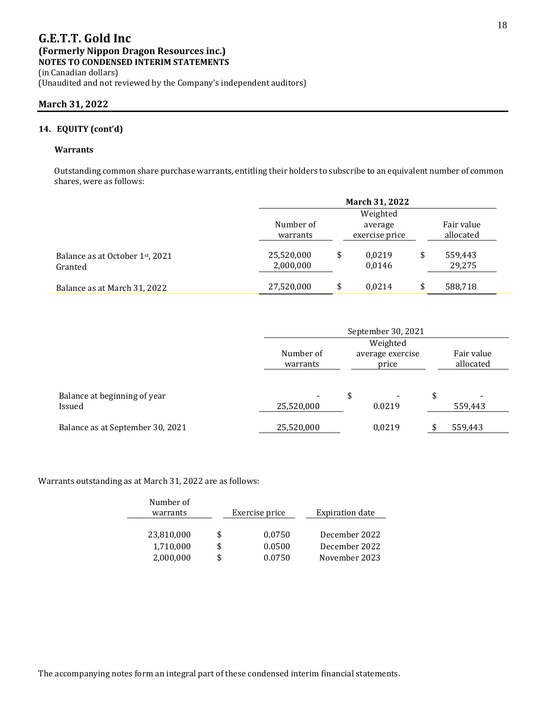### **March 31, 2022**

### **14. EQUITY (cont'd)**

### **Warrants**

Outstanding common share purchase warrants, entitling their holders to subscribe to an equivalent number of common shares, were as follows:

|                                            | <b>March 31, 2022</b>   |    |                           |    |                         |
|--------------------------------------------|-------------------------|----|---------------------------|----|-------------------------|
|                                            | Weighted                |    |                           |    |                         |
|                                            | Number of<br>warrants   |    | average<br>exercise price |    | Fair value<br>allocated |
| Balance as at October 1st, 2021<br>Granted | 25,520,000<br>2,000,000 | \$ | 0.0219<br>0,0146          | \$ | 559,443<br>29,275       |
| Balance as at March 31, 2022               | 27,520,000              | \$ | 0.0214                    | \$ | 588,718                 |

|                                        | September 30, 2021    |                                          |    |                         |
|----------------------------------------|-----------------------|------------------------------------------|----|-------------------------|
|                                        | Weighted              |                                          |    |                         |
|                                        | Number of<br>warrants | average exercise<br>price                |    | Fair value<br>allocated |
| Balance at beginning of year<br>Issued | 25,520,000            | \$<br>$\overline{\phantom{0}}$<br>0.0219 | \$ | 559,443                 |
| Balance as at September 30, 2021       | 25,520,000            | 0,0219                                   |    | 559,443                 |

Warrants outstanding as at March 31, 2022 are as follows:

| Number of<br>warrants  |    | Exercise price   | <b>Expiration date</b>         |
|------------------------|----|------------------|--------------------------------|
| 23,810,000             | S  | 0.0750           | December 2022                  |
| 1,710,000<br>2,000,000 | \$ | 0.0500<br>0.0750 | December 2022<br>November 2023 |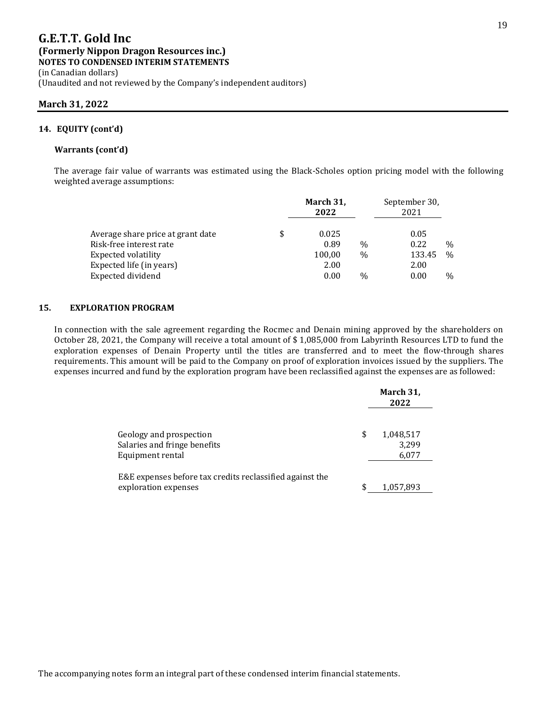(Unaudited and not reviewed by the Company's independent auditors)

### **March 31, 2022**

### **14. EQUITY (cont'd)**

#### **Warrants (cont'd)**

The average fair value of warrants was estimated using the Black-Scholes option pricing model with the following weighted average assumptions:

| March 31,<br>2022 |               | September 30,<br>2021 |               |
|-------------------|---------------|-----------------------|---------------|
| \$<br>0.025       |               | 0.05                  |               |
| 0.89              | $\frac{0}{0}$ | 0.22                  | $\frac{0}{0}$ |
| 100,00            | $\frac{0}{0}$ | 133.45                | $\frac{0}{0}$ |
| 2.00              |               | 2.00                  |               |
| 0.00              | $\frac{0}{0}$ | 0.00                  | $\frac{0}{0}$ |
|                   |               |                       |               |

#### **15. EXPLORATION PROGRAM**

In connection with the sale agreement regarding the Rocmec and Denain mining approved by the shareholders on October 28, 2021, the Company will receive a total amount of \$ 1,085,000 from Labyrinth Resources LTD to fund the exploration expenses of Denain Property until the titles are transferred and to meet the flow-through shares requirements. This amount will be paid to the Company on proof of exploration invoices issued by the suppliers. The expenses incurred and fund by the exploration program have been reclassified against the expenses are as followed:

|                                                                                  | March 31,<br>2022                 |
|----------------------------------------------------------------------------------|-----------------------------------|
| Geology and prospection<br>Salaries and fringe benefits<br>Equipment rental      | \$<br>1,048,517<br>3,299<br>6,077 |
| E&E expenses before tax credits reclassified against the<br>exploration expenses | \$<br>1,057,893                   |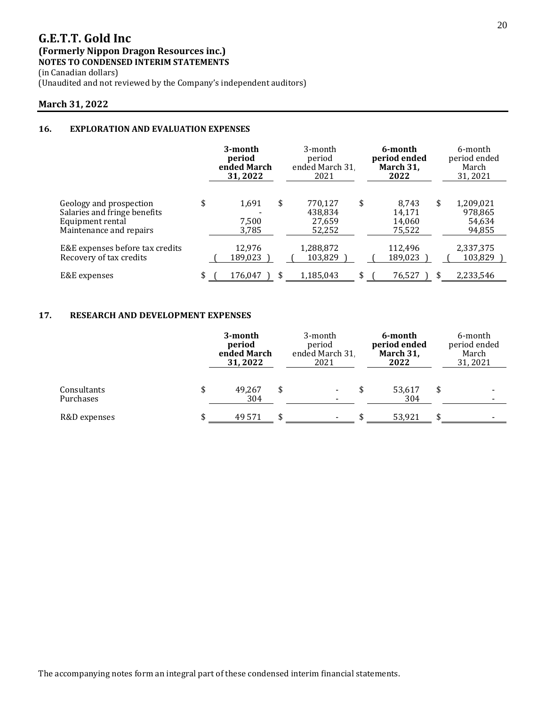(in Canadian dollars)

(Unaudited and not reviewed by the Company's independent auditors)

### **March 31, 2022**

### **16. EXPLORATION AND EVALUATION EXPENSES**

|                                                                                                        | 3-month<br>period<br>ended March<br>31, 2022 |    | 3-month<br>period<br>ended March 31<br>2021 |    | 6-month<br>period ended<br>March 31,<br>2022 |    | 6-month<br>period ended<br>March<br>31,2021 |  |
|--------------------------------------------------------------------------------------------------------|----------------------------------------------|----|---------------------------------------------|----|----------------------------------------------|----|---------------------------------------------|--|
| Geology and prospection<br>Salaries and fringe benefits<br>Equipment rental<br>Maintenance and repairs | \$<br>1,691<br>7,500<br>3,785                | \$ | 770,127<br>438,834<br>27,659<br>52,252      | \$ | 8.743<br>14,171<br>14,060<br>75,522          | \$ | 1,209,021<br>978,865<br>54,634<br>94,855    |  |
| E&E expenses before tax credits<br>Recovery of tax credits                                             | 12,976<br>189,023                            |    | 1,288,872<br>103,829                        |    | 112,496<br>189,023                           |    | 2,337,375<br>103,829                        |  |
| E&E expenses                                                                                           | \$<br>176.047                                | \$ | 1,185,043                                   | \$ | 76,527                                       |    | 2,233,546                                   |  |

### **17. RESEARCH AND DEVELOPMENT EXPENSES**

|                          |   | 3-month<br>period<br>ended March<br>31, 2022 |  | 3-month<br>period<br>ended March 31<br>2021 |  | 6-month<br>period ended<br>March 31,<br>2022 |   | 6-month<br>period ended<br>March<br>31, 2021 |  |
|--------------------------|---|----------------------------------------------|--|---------------------------------------------|--|----------------------------------------------|---|----------------------------------------------|--|
| Consultants<br>Purchases |   | 49.267<br>304                                |  | $\overline{\phantom{a}}$                    |  | 53,617<br>304                                | S |                                              |  |
| R&D expenses             | Ж | 49 5 71                                      |  | $\overline{\phantom{a}}$                    |  | 53.921                                       |   | $\overline{\phantom{a}}$                     |  |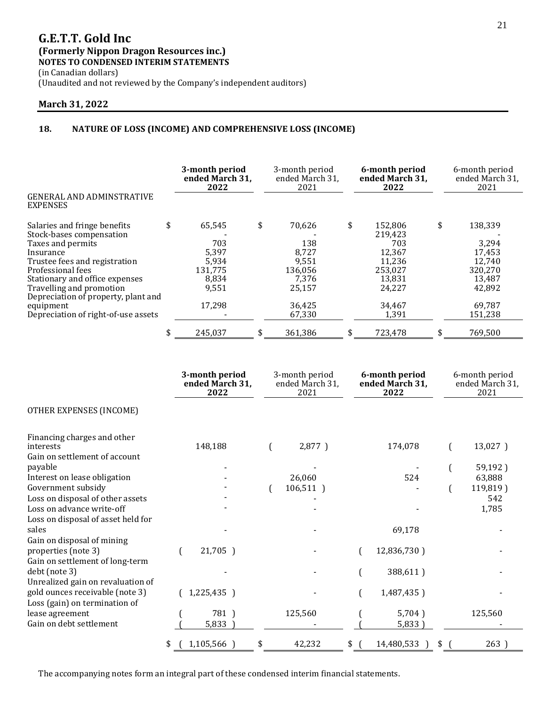(in Canadian dollars) (Unaudited and not reviewed by the Company's independent auditors)

### **March 31, 2022**

### **18. NATURE OF LOSS (INCOME) AND COMPREHENSIVE LOSS (INCOME)**

|                                                     |    | 3-month period<br>ended March 31,<br>2022 |    |         |    | 3-month period<br>ended March 31,<br>2021 |    | 6-month period<br>ended March 31,<br>2022 |  | 6-month period<br>ended March 31,<br>2021 |  |
|-----------------------------------------------------|----|-------------------------------------------|----|---------|----|-------------------------------------------|----|-------------------------------------------|--|-------------------------------------------|--|
| <b>GENERAL AND ADMINSTRATIVE</b><br><b>EXPENSES</b> |    |                                           |    |         |    |                                           |    |                                           |  |                                           |  |
| Salaries and fringe benefits                        | \$ | 65,545                                    | \$ | 70,626  | \$ | 152,806                                   | \$ | 138,339                                   |  |                                           |  |
| Stock-bases compensation                            |    |                                           |    |         |    | 219,423                                   |    |                                           |  |                                           |  |
| Taxes and permits                                   |    | 703                                       |    | 138     |    | 703                                       |    | 3,294                                     |  |                                           |  |
| Insurance                                           |    | 5,397                                     |    | 8,727   |    | 12,367                                    |    | 17,453                                    |  |                                           |  |
| Trustee fees and registration                       |    | 5.934                                     |    | 9.551   |    | 11.236                                    |    | 12.740                                    |  |                                           |  |
| Professional fees                                   |    | 131.775                                   |    | 136.056 |    | 253,027                                   |    | 320.270                                   |  |                                           |  |
| Stationary and office expenses                      |    | 8,834                                     |    | 7,376   |    | 13,831                                    |    | 13,487                                    |  |                                           |  |
| Travelling and promotion                            |    | 9,551                                     |    | 25,157  |    | 24,227                                    |    | 42,892                                    |  |                                           |  |
| Depreciation of property, plant and                 |    |                                           |    |         |    |                                           |    |                                           |  |                                           |  |
| equipment                                           |    | 17.298                                    |    | 36,425  |    | 34,467                                    |    | 69,787                                    |  |                                           |  |
| Depreciation of right-of-use assets                 |    |                                           |    | 67,330  |    | 1,391                                     |    | 151,238                                   |  |                                           |  |
|                                                     |    | 245.037                                   |    | 361.386 | \$ | 723.478                                   | S  | 769.500                                   |  |                                           |  |

|                                                                           | 3-month period<br>ended March 31,<br>2022 |    | 3-month period<br>ended March 31,<br>2021 |           | 6-month period<br>ended March 31,<br>2022 |             |    | 6-month period<br>ended March 31,<br>2021 |
|---------------------------------------------------------------------------|-------------------------------------------|----|-------------------------------------------|-----------|-------------------------------------------|-------------|----|-------------------------------------------|
| OTHER EXPENSES (INCOME)                                                   |                                           |    |                                           |           |                                           |             |    |                                           |
| Financing charges and other<br>interests<br>Gain on settlement of account | 148,188                                   |    |                                           | 2,877)    |                                           | 174,078     |    | 13,027)                                   |
| payable                                                                   |                                           |    |                                           |           |                                           |             |    | 59,192)                                   |
| Interest on lease obligation                                              |                                           |    |                                           | 26,060    |                                           | 524         |    | 63,888                                    |
| Government subsidy                                                        |                                           |    |                                           | 106,511 ) |                                           |             |    | 119,819)                                  |
| Loss on disposal of other assets                                          |                                           |    |                                           |           |                                           |             |    | 542                                       |
| Loss on advance write-off                                                 |                                           |    |                                           |           |                                           |             |    | 1,785                                     |
| Loss on disposal of asset held for<br>sales<br>Gain on disposal of mining |                                           |    |                                           |           |                                           | 69,178      |    |                                           |
| properties (note 3)<br>Gain on settlement of long-term                    | 21,705 )                                  |    |                                           |           |                                           | 12,836,730) |    |                                           |
| debt (note 3)<br>Unrealized gain on revaluation of                        |                                           |    |                                           |           |                                           | 388,611)    |    |                                           |
| gold ounces receivable (note 3)<br>Loss (gain) on termination of          | 1,225,435 )                               |    |                                           |           |                                           | 1,487,435)  |    |                                           |
| lease agreement                                                           | 781)                                      |    |                                           | 125,560   |                                           | 5,704)      |    | 125,560                                   |
| Gain on debt settlement                                                   | 5,833                                     |    |                                           |           |                                           | 5,833)      |    |                                           |
|                                                                           | \$<br>1,105,566 )                         | \$ |                                           | 42,232    | \$                                        | 14,480,533  | \$ | 263)                                      |

The accompanying notes form an integral part of these condensed interim financial statements.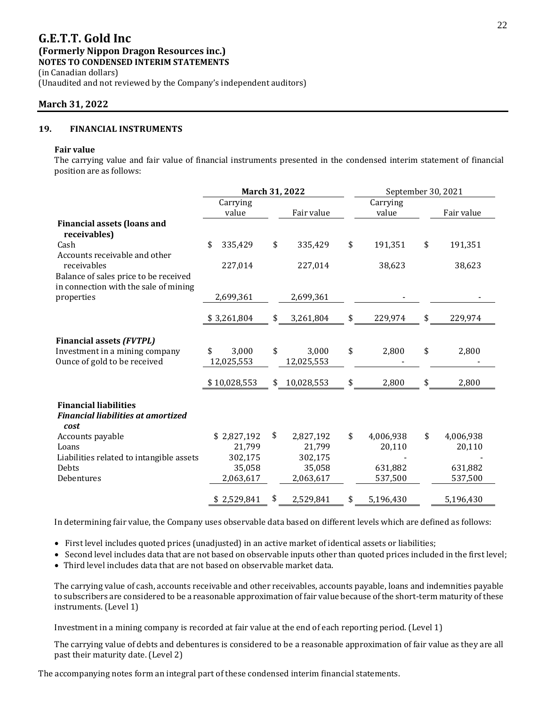(in Canadian dollars) (Unaudited and not reviewed by the Company's independent auditors)

### **March 31, 2022**

### **19. FINANCIAL INSTRUMENTS**

#### **Fair value**

The carrying value and fair value of financial instruments presented in the condensed interim statement of financial position are as follows:

|                                                                                   | March 31, 2022            |    |                     |    | September 30, 2021 |    |            |  |  |
|-----------------------------------------------------------------------------------|---------------------------|----|---------------------|----|--------------------|----|------------|--|--|
|                                                                                   | Carrying<br>value         |    | Fair value          |    | Carrying<br>value  |    | Fair value |  |  |
| <b>Financial assets (loans and</b><br>receivables)                                |                           |    |                     |    |                    |    |            |  |  |
| Cash                                                                              | \$<br>335,429             | \$ | 335,429             | \$ | 191,351            | \$ | 191,351    |  |  |
| Accounts receivable and other<br>receivables                                      | 227,014                   |    | 227,014             |    | 38,623             |    | 38,623     |  |  |
| Balance of sales price to be received                                             |                           |    |                     |    |                    |    |            |  |  |
| in connection with the sale of mining<br>properties                               | 2,699,361                 |    | 2,699,361           |    |                    |    |            |  |  |
|                                                                                   | \$3,261,804               | \$ | 3,261,804           | \$ | 229,974            | \$ | 229,974    |  |  |
| <b>Financial assets (FVTPL)</b>                                                   |                           |    |                     |    |                    |    |            |  |  |
| Investment in a mining company<br>Ounce of gold to be received                    | 3,000<br>\$<br>12,025,553 | \$ | 3,000<br>12,025,553 | \$ | 2,800              | \$ | 2,800      |  |  |
|                                                                                   | \$10,028,553              | \$ | 10,028,553          | \$ | 2,800              | \$ | 2,800      |  |  |
| <b>Financial liabilities</b><br><b>Financial liabilities at amortized</b><br>cost |                           |    |                     |    |                    |    |            |  |  |
| Accounts payable                                                                  | \$2,827,192               | \$ | 2,827,192           | \$ | 4,006,938          | \$ | 4,006,938  |  |  |
| Loans                                                                             | 21,799                    |    | 21,799              |    | 20,110             |    | 20,110     |  |  |
| Liabilities related to intangible assets                                          | 302,175                   |    | 302,175             |    |                    |    |            |  |  |
| Debts                                                                             | 35,058                    |    | 35,058              |    | 631,882            |    | 631,882    |  |  |
| Debentures                                                                        | 2,063,617                 |    | 2,063,617           |    | 537,500            |    | 537,500    |  |  |
|                                                                                   | \$2,529,841               | \$ | 2,529,841           | \$ | 5,196,430          |    | 5,196,430  |  |  |

In determining fair value, the Company uses observable data based on different levels which are defined as follows:

- First level includes quoted prices (unadjusted) in an active market of identical assets or liabilities;
- Second level includes data that are not based on observable inputs other than quoted prices included in the first level; • Third level includes data that are not based on observable market data.

The carrying value of cash, accounts receivable and other receivables, accounts payable, loans and indemnities payable to subscribers are considered to be a reasonable approximation of fair value because of the short-term maturity of these instruments. (Level 1)

Investment in a mining company is recorded at fair value at the end of each reporting period. (Level 1)

The carrying value of debts and debentures is considered to be a reasonable approximation of fair value as they are all past their maturity date. (Level 2)

The accompanying notes form an integral part of these condensed interim financial statements.